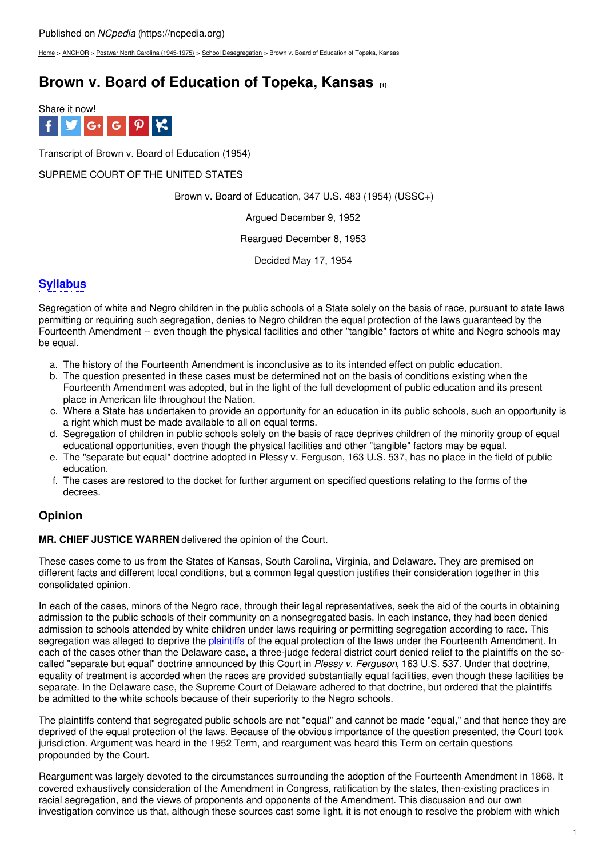[Home](https://ncpedia.org/) > [ANCHOR](https://ncpedia.org/anchor/anchor) > Postwar North Carolina [\(1945-1975\)](https://ncpedia.org/anchor/postwar-north-carolina-1945) > School [Desegregation](https://ncpedia.org/anchor/school-desegregation) > Brown v. Board of Education of Topeka, Kansas

# **Brown v. Board of [Education](https://ncpedia.org/anchor/brown-v-board-education) of Topeka, Kansas [1]**



Transcript of Brown v. Board of Education (1954)

#### SUPREME COURT OF THE UNITED STATES

Brown v. Board of Education, 347 U.S. 483 (1954) (USSC+)

Argued December 9, 1952

Reargued December 8, 1953

[Decide](http://www.social9.com)d May 17, 1954

## **Syllabus**

Segregation of white and Negro children in the public schools of a State solely on the basis of race, pursuant to state laws permitting or requiring such segregation, denies to Negro children the equal protection of the laws guaranteed by the Fourteenth Amendment -- even though the physical facilities and other "tangible" factors of white and Negro schools may be equal.

- a. The history of the Fourteenth Amendment is inconclusive as to its intended effect on public education.
- b. The question presented in these cases must be determined not on the basis of conditions existing when the Fourteenth Amendment was adopted, but in the light of the full development of public education and its present place in American life throughout the Nation.
- c. Where a State has undertaken to provide an opportunity for an education in its public schools, such an opportunity is a right which must be made available to all on equal terms.
- d. Segregation of children in public schools solely on the basis of race deprives children of the minority group of equal educational opportunities, even though the physical facilities and other "tangible" factors may be equal.
- e. The "separate but equal" doctrine adopted in Plessy v. Ferguson, 163 U.S. 537, has no place in the field of public education.
- f. The cases are restored to the docket for further argument on specified questions relating to the forms of the decrees.

## **Opinion**

**MR. CHIEF JUSTICE WARREN** delivered the opinion of the Court.

These cases come to us from the States of Kansas, South Carolina, Virginia, and Delaware. They are premised on different facts and different local conditions, but a common legal question justifies their consideration together in this consolidated opinion.

In each of the cases, minors of the Negro race, through their legal representatives, seek the aid of the courts in obtaining admission to the public schools of their community on a nonsegregated basis. In each instance, they had been denied admission to schools attended by white children under laws requiring or permitting segregation according to race. This segregation was alleged to deprive the plaintiffs of the equal protection of the laws under the Fourteenth Amendment. In each of the cases other than the Delaware case, a three-judge federal district court denied relief to the plaintiffs on the socalled "separate but equal" doctrine announced by this Court in *Plessy v. Ferguson*, 163 U.S. 537. Under that doctrine, equality of treatment is accorded when the races are provided substantially equal facilities, even though these facilities be separate. In the Delaware case, the Supreme Court of Delaware adhered to that doctrine, but ordered that the plaintiffs be admitted to the white schools because of their superiority to the Negro schools.

The plaintiffs contend that segregated public schools are not "equal" and cannot be made "equal," and that hence they are deprived of the equal protection of the laws. Because of the obvious importance of the question presented, the Court took jurisdiction. Argument was heard in the 1952 Term, and reargument was heard this Term on certain questions propounded by the Court.

Reargument was largely devoted to the circumstances surrounding the adoption of the Fourteenth Amendment in 1868. It covered exhaustively consideration of the Amendment in Congress, ratification by the states, then-existing practices in racial segregation, and the views of proponents and opponents of the Amendment. This discussion and our own investigation convince us that, although these sources cast some light, it is not enough to resolve the problem with which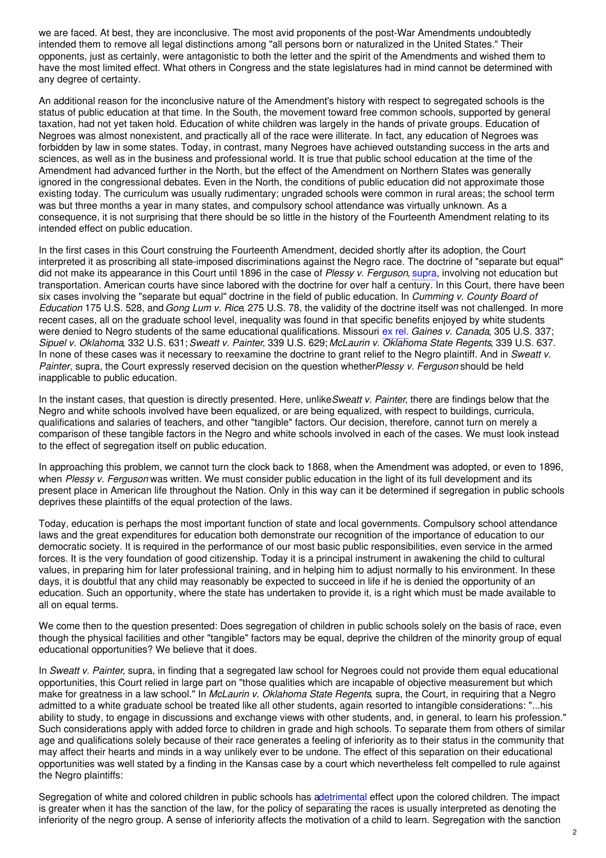we are faced. At best, they are inconclusive. The most avid proponents of the post-War Amendments undoubtedly intended them to remove all legal distinctions among "all persons born or naturalized in the United States." Their opponents, just as certainly, were antagonistic to both the letter and the spirit of the Amendments and wished them to have the most limited effect. What others in Congress and the state legislatures had in mind cannot be determined with any degree of certainty.

An additional reason for the inconclusive nature of the Amendment's history with respect to segregated schools is the status of public education at that time. In the South, the movement toward free common schools, supported by general taxation, had not yet taken hold. Education of white children was largely in the hands of private groups. Education of Negroes was almost nonexistent, and practically all of the race were illiterate. In fact, any education of Negroes was forbidden by law in some states. Today, in contrast, many Negroes have achieved outstanding success in the arts and sciences, as well as in the business and professional world. It is true that public school education at the time of the Amendment had advanced further in the North, but the effect of the Amendment on Northern States was generally ignored in the congressional debates. Even in the North, the conditions of public education did not approximate those existing today. The curriculum was usually rudimentary; ungraded schools were common in rural areas; the school term was but three months a year in many states, and compulsory school attendance was virtually unknown. As a consequence, it is not surprising that there should be so little in the history of the Fourteenth Amendment relating to its intended effect on public education.

In the first cases in this Court construing the Fourteenth Amendment, decided shortly after its adoption, the Court interpreted it as proscribing all state-imposed discriminations against the Negro race. The doctrine of "separate but equal" did not make its appearance in this Court until 1896 in the case of *Plessy v. Ferguson*, supra, involving not education but transportation. American courts have since labored with the doctrine for over half a century. In this Court, there have been six cases involving the "separate but equal" doctrine in the field of public education. In *Cumming v. County Board of Education* 175 U.S. 528, and *Gong Lum v. Rice*, 275 U.S. 78, the validity of the doctrine itself was not challenged. In more recent cases, all on the graduate school level, inequality was found in that specific benefits enjoyed by white students were denied to Negro students of the same educational qualifications. Missouri ex rel. *Gaines v. Canada*, 305 U.S. 337; *Sipuel v. Oklahoma*, 332 U.S. 631;*Sweatt v. Painter*, 339 U.S. 629; *McLaurin v. Oklahoma State Regents*, 339 U.S. 637. In none of these cases was it necessary to reexamine the doctrine to grant relief to the Negro plaintiff. And in *Sweatt v. Painter*, supra, the Court expressly reserved decision on the question whether*Plessy v. Ferguson* should be held inapplicable to public education.

In the instant cases, that question is directly presented. Here, unlike*Sweatt v. Painter*, there are findings below that the Negro and white schools involved have been equalized, or are being equalized, with respect to buildings, curricula, qualifications and salaries of teachers, and other "tangible" factors. Our decision, therefore, cannot turn on merely a comparison of these tangible factors in the Negro and white schools involved in each of the cases. We must look instead to the effect of segregation itself on public education.

In approaching this problem, we cannot turn the clock back to 1868, when the Amendment was adopted, or even to 1896, when *Plessy v. Ferguson* was written. We must consider public education in the light of its full development and its present place in American life throughout the Nation. Only in this way can it be determined if segregation in public schools deprives these plaintiffs of the equal protection of the laws.

Today, education is perhaps the most important function of state and local governments. Compulsory school attendance laws and the great expenditures for education both demonstrate our recognition of the importance of education to our democratic society. It is required in the performance of our most basic public responsibilities, even service in the armed forces. It is the very foundation of good citizenship. Today it is a principal instrument in awakening the child to cultural values, in preparing him for later professional training, and in helping him to adjust normally to his environment. In these days, it is doubtful that any child may reasonably be expected to succeed in life if he is denied the opportunity of an education. Such an opportunity, where the state has undertaken to provide it, is a right which must be made available to all on equal terms.

We come then to the question presented: Does segregation of children in public schools solely on the basis of race, even though the physical facilities and other "tangible" factors may be equal, deprive the children of the minority group of equal educational opportunities? We believe that it does.

In *Sweatt v. Painter*, supra, in finding that a segregated law school for Negroes could not provide them equal educational opportunities, this Court relied in large part on "those qualities which are incapable of objective measurement but which make for greatness in a law school." In *McLaurin v. Oklahoma State Regents*, supra, the Court, in requiring that a Negro admitted to a white graduate school be treated like all other students, again resorted to intangible considerations: "...his ability to study, to engage in discussions and exchange views with other students, and, in general, to learn his profession." Such considerations apply with added force to children in grade and high schools. To separate them from others of similar age and qualifications solely because of their race generates a feeling of inferiority as to their status in the community that may affect their hearts and minds in a way unlikely ever to be undone. The effect of this separation on their educational opportunities was well stated by a finding in the Kansas case by a court which nevertheless felt compelled to rule against the Negro plaintiffs:

Segregation of white and colored children in public schools has adetrimental effect upon the colored children. The impact is greater when it has the sanction of the law, for the policy of separating the races is usually interpreted as denoting the inferiority of the negro group. A sense of inferiority affects the motivation of a child to learn. Segregation with the sanction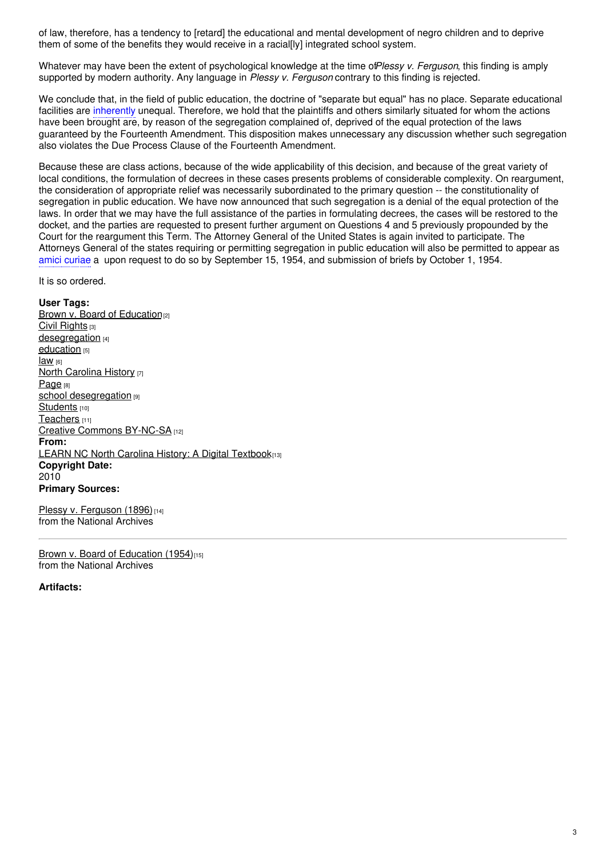of law, therefore, has a tendency to [retard] the educational and mental development of negro children and to deprive them of some of the benefits they would receive in a racial[ly] integrated school system.

Whatever may have been the extent of psychological knowledge at the time of*Plessy v. Ferguson*, this finding is amply supported by modern authority. Any language in *Plessy v. Ferguson* contrary to this finding is rejected.

We conclude that, in the field of public education, the doctrine of "separate but equal" has no place. Separate educational facilities are inherently unequal. Therefore, we hold that the plaintiffs and others similarly situated for whom the actions have been brought are, by reason of the segregation complained of, deprived of the equal protection of the laws guaranteed by the Fourteenth Amendment. This disposition makes unnecessary any discussion whether such segregation also violates the Due Process Clause of the Fourteenth Amendment.

Because these are class actions, because of the wide applicability of this decision, and because of the great variety of local conditions, the formulation of decrees in these cases presents problems of considerable complexity. On reargument, the consideration of appropriate relief was necessarily subordinated to the primary question -- the constitutionality of segregation in public education. We have now announced that such segregation is a denial of the equal protection of the laws. In order that we may have the full assistance of the parties in formulating decrees, the cases will be restored to the docket, and the parties are requested to present further argument on Questions 4 and 5 previously propounded by the Court for the reargument this Term. The Attorney General of the United States is again invited to participate. The Attorneys General of the states requiring or permitting segregation in public education will also be permitted to appear as amici curiae a upon request to do so by September 15, 1954, and submission of briefs by October 1, 1954.

It is so ordered.

**User Tags:** Brown v. Board of [Education](https://ncpedia.org/category/user-tags/brown-v-board)<sup>[2]</sup> Civil [Rights](https://ncpedia.org/category/user-tags/civil-rights) [3] [desegregation](https://ncpedia.org/category/user-tags/desegregation) [4] [education](https://ncpedia.org/category/user-tags/education) [5] [law](https://ncpedia.org/category/user-tags/law) [6] North [Carolina](https://ncpedia.org/category/user-tags/north-carolina-6) History [7] [Page](https://ncpedia.org/category/user-tags/page) [8] school [desegregation](https://ncpedia.org/category/user-tags/school-0) [9] [Students](https://ncpedia.org/category/user-tags/students) [10] [Teachers](https://ncpedia.org/category/user-tags/teachers) [11] Creative Commons [BY-NC-SA](https://ncpedia.org/category/user-tags/creative-commons) [12] **From:** LEARN NC North Carolina History: A Digital [Textbook](https://ncpedia.org/category/entry-source/learn-nc)[13] **Copyright Date:** 2010 **Primary Sources:**

Plessy v. [Ferguson](https://www.archives.gov/milestone-documents/plessy-v-ferguson) (1896)<sup>[14]</sup> from the National Archives

Brown v. Board of [Education](https://www.archives.gov/milestone-documents/brown-v-board-of-education) (1954)<sup>[15]</sup> from the National Archives

**Artifacts:**